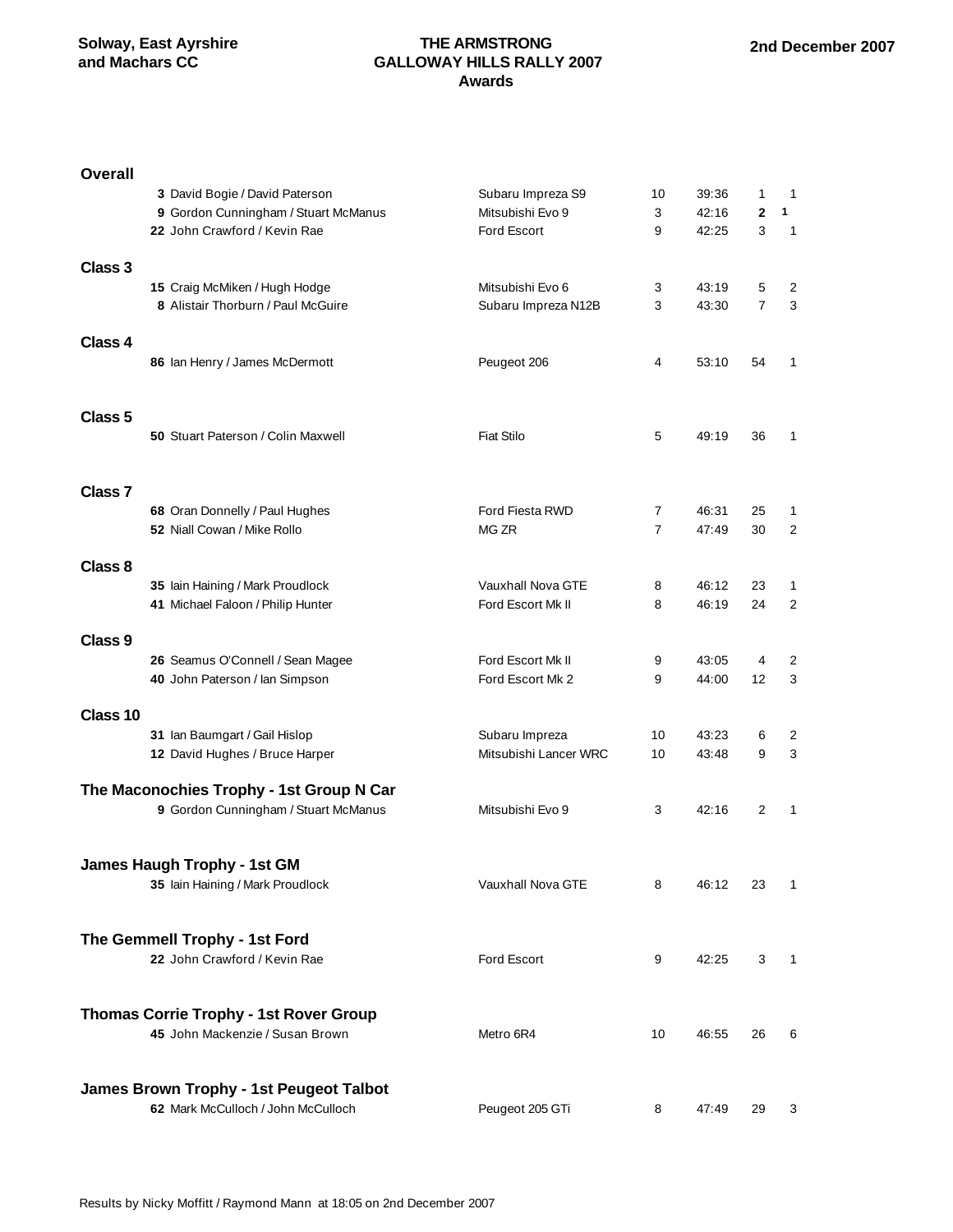#### **THE ARMSTRONG GALLOWAY HILLS RALLY 2007 Awards**

| <b>Overall</b>     |                                                                 |                       |                |       |                |                |
|--------------------|-----------------------------------------------------------------|-----------------------|----------------|-------|----------------|----------------|
|                    | 3 David Bogie / David Paterson                                  | Subaru Impreza S9     | 10             | 39:36 | 1              | $\mathbf 1$    |
|                    | 9 Gordon Cunningham / Stuart McManus                            | Mitsubishi Evo 9      | 3              | 42:16 | $\mathbf{2}$   | 1              |
|                    | 22 John Crawford / Kevin Rae                                    | <b>Ford Escort</b>    | 9              | 42:25 | 3              | $\mathbf{1}$   |
| Class 3            |                                                                 |                       |                |       |                |                |
|                    | 15 Craig McMiken / Hugh Hodge                                   | Mitsubishi Evo 6      | 3              | 43:19 | 5              | $\overline{2}$ |
|                    | 8 Alistair Thorburn / Paul McGuire                              | Subaru Impreza N12B   | 3              | 43:30 | $\overline{7}$ | 3              |
| Class 4            | 86 Ian Henry / James McDermott                                  | Peugeot 206           | 4              | 53:10 | 54             | 1              |
| Class <sub>5</sub> | <b>50 Stuart Paterson / Colin Maxwell</b>                       | <b>Fiat Stilo</b>     | 5              | 49:19 | 36             | 1              |
| Class <sub>7</sub> |                                                                 |                       |                |       |                |                |
|                    | 68 Oran Donnelly / Paul Hughes                                  | Ford Fiesta RWD       | $\overline{7}$ | 46:31 | 25             | 1              |
|                    | 52 Niall Cowan / Mike Rollo                                     | MG ZR                 | $\overline{7}$ | 47:49 | 30             | 2              |
| Class 8            | 35 lain Haining / Mark Proudlock                                | Vauxhall Nova GTE     | 8              | 46:12 | 23             | 1              |
|                    | 41 Michael Faloon / Philip Hunter                               | Ford Escort Mk II     | 8              | 46:19 | 24             | 2              |
| Class 9            |                                                                 |                       |                |       |                |                |
|                    | 26 Seamus O'Connell / Sean Magee                                | Ford Escort Mk II     | 9              | 43:05 | 4              | 2              |
|                    | 40 John Paterson / Ian Simpson                                  | Ford Escort Mk 2      | 9              | 44:00 | 12             | 3              |
|                    |                                                                 |                       |                |       |                |                |
| Class 10           | 31 Ian Baumgart / Gail Hislop                                   | Subaru Impreza        | 10             | 43:23 | 6              | 2              |
|                    | 12 David Hughes / Bruce Harper                                  | Mitsubishi Lancer WRC | 10             | 43:48 | 9              | 3              |
|                    | The Maconochies Trophy - 1st Group N Car                        |                       |                |       |                |                |
|                    | 9 Gordon Cunningham / Stuart McManus                            | Mitsubishi Evo 9      | 3              | 42:16 | 2              | 1              |
|                    | James Haugh Trophy - 1st GM<br>35 Iain Haining / Mark Proudlock | Vauxhall Nova GTE     | 8              | 46:12 | 23             | 1              |
|                    | The Gemmell Trophy - 1st Ford                                   |                       |                |       |                |                |
|                    | 22 John Crawford / Kevin Rae                                    | Ford Escort           | 9              | 42:25 | 3              | $\mathbf{1}$   |
|                    | <b>Thomas Corrie Trophy - 1st Rover Group</b>                   |                       |                |       |                |                |
|                    | 45 John Mackenzie / Susan Brown                                 | Metro 6R4             | 10             | 46:55 | 26             | 6              |
|                    | James Brown Trophy - 1st Peugeot Talbot                         |                       |                |       |                |                |
|                    | 62 Mark McCulloch / John McCulloch                              | Peugeot 205 GTi       | 8              | 47:49 | 29             | 3              |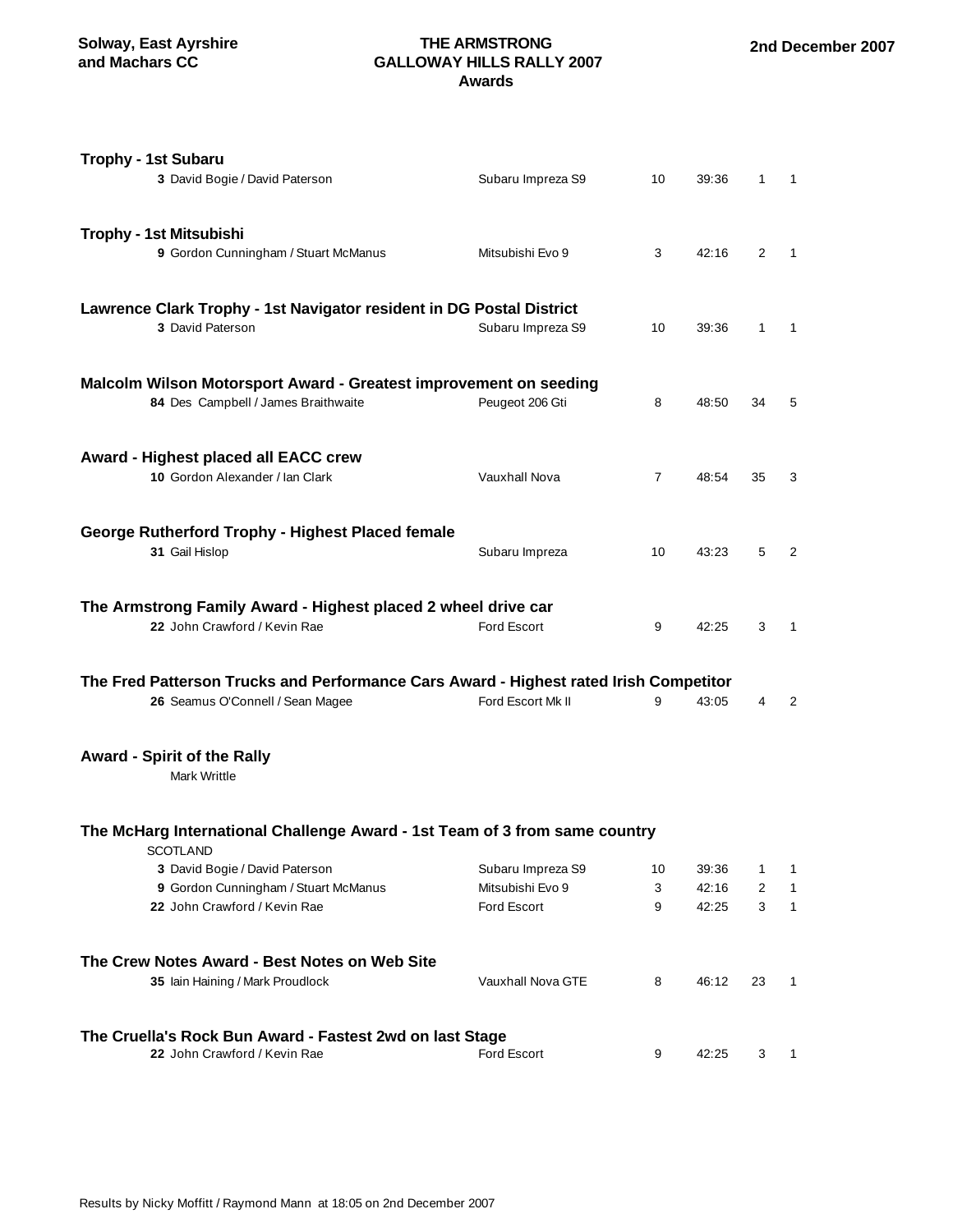### **THE ARMSTRONG GALLOWAY HILLS RALLY 2007 Awards**

| <b>Trophy - 1st Subaru</b><br>3 David Bogie / David Paterson                                                              | Subaru Impreza S9                                           | 10           | 39:36                   | $\mathbf{1}$   | $\overline{\phantom{0}}$ |
|---------------------------------------------------------------------------------------------------------------------------|-------------------------------------------------------------|--------------|-------------------------|----------------|--------------------------|
| Trophy - 1st Mitsubishi<br>9 Gordon Cunningham / Stuart McManus                                                           | Mitsubishi Evo 9                                            | 3            | 42:16                   | $\overline{2}$ | $\mathbf{1}$             |
| Lawrence Clark Trophy - 1st Navigator resident in DG Postal District<br>3 David Paterson                                  | Subaru Impreza S9                                           | 10           | 39:36                   | 1              | $\mathbf{1}$             |
| Malcolm Wilson Motorsport Award - Greatest improvement on seeding<br>84 Des Campbell / James Braithwaite                  | Peugeot 206 Gti                                             | 8            | 48:50                   | 34             | 5                        |
| Award - Highest placed all EACC crew<br>10 Gordon Alexander / Ian Clark                                                   | Vauxhall Nova                                               | $\mathbf{7}$ | 48:54                   | 35             | 3                        |
| <b>George Rutherford Trophy - Highest Placed female</b><br>31 Gail Hislop                                                 | Subaru Impreza                                              | 10           | 43:23                   | 5              | $\overline{2}$           |
| The Armstrong Family Award - Highest placed 2 wheel drive car<br>22 John Crawford / Kevin Rae                             | <b>Ford Escort</b>                                          | 9            | 42:25                   | 3              | $\mathbf{1}$             |
| The Fred Patterson Trucks and Performance Cars Award - Highest rated Irish Competitor<br>26 Seamus O'Connell / Sean Magee | Ford Escort Mk II                                           | 9            | 43:05                   | 4              | 2                        |
| <b>Award - Spirit of the Rally</b><br><b>Mark Writtle</b>                                                                 |                                                             |              |                         |                |                          |
| The McHarg International Challenge Award - 1st Team of 3 from same country<br><b>SCOTLAND</b>                             |                                                             |              |                         |                |                          |
| 3 David Bogie / David Paterson<br>9 Gordon Cunningham / Stuart McManus<br>22 John Crawford / Kevin Rae                    | Subaru Impreza S9<br>Mitsubishi Evo 9<br><b>Ford Escort</b> | 10<br>3<br>9 | 39:36<br>42:16<br>42:25 | 1<br>2<br>3    | 1<br>1<br>$\mathbf{1}$   |
| The Crew Notes Award - Best Notes on Web Site<br>35 Iain Haining / Mark Proudlock                                         | Vauxhall Nova GTE                                           | 8            | 46:12                   | 23             | 1                        |
| The Cruella's Rock Bun Award - Fastest 2wd on last Stage<br>22 John Crawford / Kevin Rae                                  | <b>Ford Escort</b>                                          | 9            | 42:25                   | 3              | 1                        |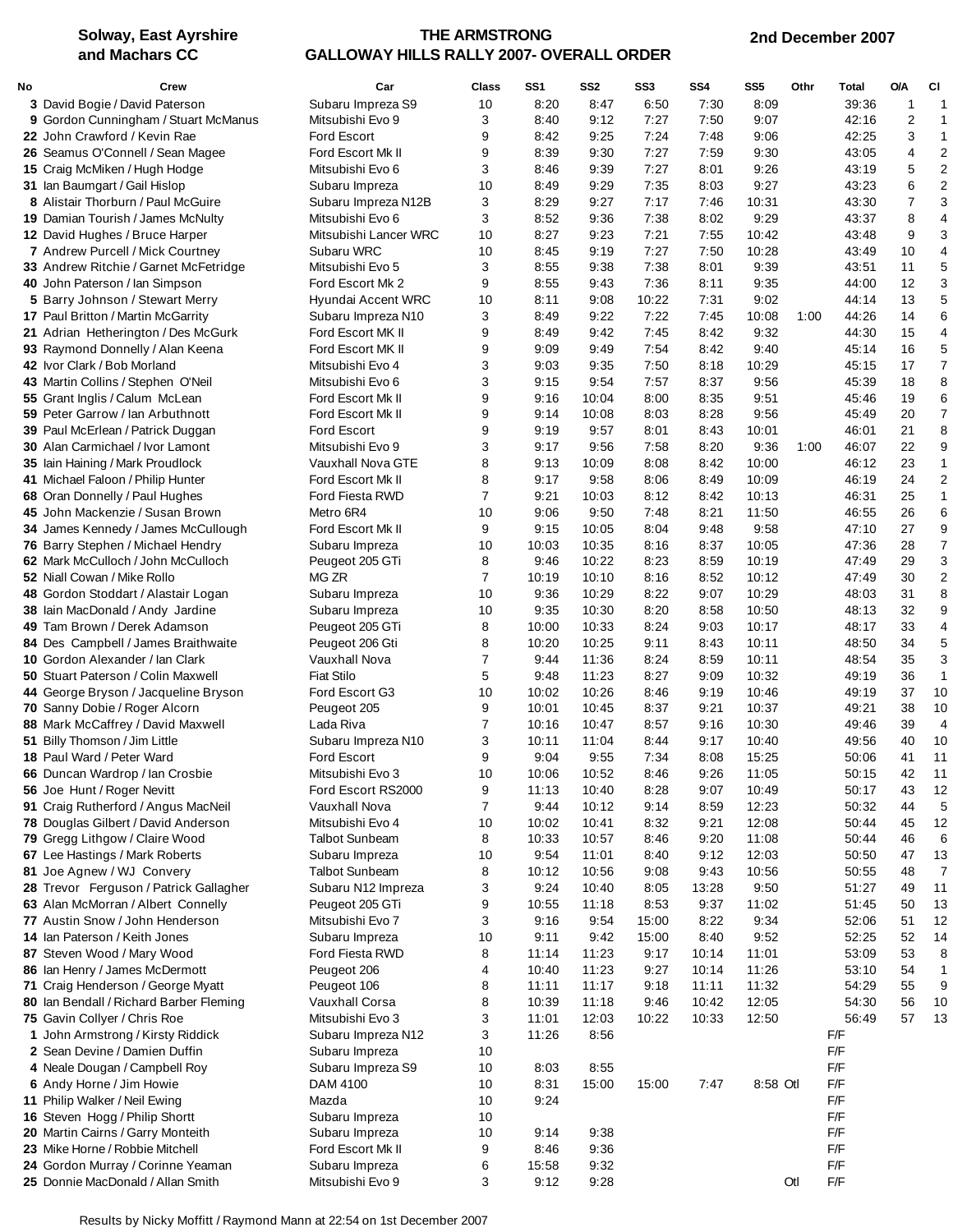## **THE ARMSTRONG GALLOWAY HILLS RALLY 2007- OVERALL ORDER**

| No | Crew                                    | Car                   | Class          | SS1   | SS <sub>2</sub> | SS <sub>3</sub> | SS4   | SS <sub>5</sub> | Othr | Total | <b>O/A</b>     | СI                      |
|----|-----------------------------------------|-----------------------|----------------|-------|-----------------|-----------------|-------|-----------------|------|-------|----------------|-------------------------|
|    | 3 David Bogie / David Paterson          | Subaru Impreza S9     | 10             | 8:20  | 8:47            | 6:50            | 7:30  | 8:09            |      | 39:36 | 1              | 1                       |
|    | 9 Gordon Cunningham / Stuart McManus    | Mitsubishi Evo 9      | 3              | 8:40  | 9:12            | 7:27            | 7:50  | 9:07            |      | 42:16 | $\overline{c}$ | 1                       |
|    | 22 John Crawford / Kevin Rae            | <b>Ford Escort</b>    | 9              | 8:42  | 9:25            | 7:24            | 7:48  | 9:06            |      | 42:25 | 3              | $\mathbf{1}$            |
|    | 26 Seamus O'Connell / Sean Magee        | Ford Escort Mk II     | 9              | 8:39  | 9:30            | 7:27            | 7:59  | 9:30            |      | 43:05 | 4              | $\overline{2}$          |
|    | 15 Craig McMiken / Hugh Hodge           | Mitsubishi Evo 6      | 3              | 8:46  | 9:39            | 7:27            | 8:01  | 9:26            |      | 43:19 | 5              | $\overline{2}$          |
|    | 31 Ian Baumgart / Gail Hislop           | Subaru Impreza        | 10             | 8:49  | 9:29            | 7:35            | 8:03  | 9:27            |      | 43:23 | 6              | $\overline{2}$          |
|    | 8 Alistair Thorburn / Paul McGuire      | Subaru Impreza N12B   | 3              | 8:29  | 9:27            | 7:17            | 7:46  | 10:31           |      | 43:30 | 7              | 3                       |
|    | 19 Damian Tourish / James McNulty       | Mitsubishi Evo 6      | 3              | 8:52  | 9:36            | 7:38            | 8:02  | 9:29            |      | 43:37 | 8              | 4                       |
|    | 12 David Hughes / Bruce Harper          | Mitsubishi Lancer WRC | 10             | 8:27  | 9:23            | 7:21            | 7:55  | 10:42           |      | 43:48 | 9              | 3                       |
|    | 7 Andrew Purcell / Mick Courtney        | Subaru WRC            | 10             | 8:45  | 9:19            | 7:27            | 7:50  | 10:28           |      | 43:49 | 10             | $\overline{4}$          |
|    | 33 Andrew Ritchie / Garnet McFetridge   | Mitsubishi Evo 5      | 3              | 8:55  | 9:38            | 7:38            | 8:01  | 9:39            |      | 43:51 | 11             | 5                       |
|    | 40 John Paterson / Ian Simpson          | Ford Escort Mk 2      | 9              | 8:55  | 9:43            | 7:36            | 8:11  | 9:35            |      | 44:00 | 12             | 3                       |
|    | 5 Barry Johnson / Stewart Merry         | Hyundai Accent WRC    | 10             | 8:11  | 9:08            | 10:22           | 7:31  | 9:02            |      | 44:14 | 13             | 5                       |
|    | 17 Paul Britton / Martin McGarrity      | Subaru Impreza N10    | 3              | 8:49  | 9:22            | 7:22            | 7:45  | 10:08           | 1:00 | 44:26 | 14             | 6                       |
|    | 21 Adrian Hetherington / Des McGurk     | Ford Escort MK II     | 9              | 8:49  | 9:42            | 7:45            | 8:42  | 9:32            |      | 44:30 | 15             | $\overline{4}$          |
|    | 93 Raymond Donnelly / Alan Keena        | Ford Escort MK II     | 9              | 9:09  | 9:49            | 7:54            | 8:42  | 9:40            |      | 45:14 | 16             | 5                       |
|    | 42 Ivor Clark / Bob Morland             | Mitsubishi Evo 4      | 3              | 9:03  | 9:35            | 7:50            | 8:18  | 10:29           |      | 45:15 | 17             | $\overline{7}$          |
|    | 43 Martin Collins / Stephen O'Neil      | Mitsubishi Evo 6      | 3              | 9:15  | 9:54            | 7:57            | 8:37  | 9:56            |      | 45:39 | 18             | 8                       |
|    | 55 Grant Inglis / Calum McLean          | Ford Escort Mk II     | 9              | 9:16  | 10:04           | 8:00            | 8:35  | 9:51            |      | 45:46 | 19             | 6                       |
|    | 59 Peter Garrow / Ian Arbuthnott        | Ford Escort Mk II     | 9              | 9:14  | 10:08           | 8:03            | 8:28  | 9:56            |      | 45:49 | 20             | $\overline{7}$          |
|    | 39 Paul McErlean / Patrick Duggan       | <b>Ford Escort</b>    | 9              | 9:19  | 9:57            | 8:01            | 8:43  | 10:01           |      | 46:01 | 21             | 8                       |
|    | 30 Alan Carmichael / Ivor Lamont        | Mitsubishi Evo 9      | 3              | 9:17  | 9:56            | 7:58            | 8:20  | 9:36            | 1:00 | 46:07 | 22             | 9                       |
|    | 35 lain Haining / Mark Proudlock        | Vauxhall Nova GTE     | 8              | 9:13  | 10:09           | 8:08            | 8:42  | 10:00           |      | 46:12 | 23             | $\mathbf{1}$            |
|    | 41 Michael Faloon / Philip Hunter       | Ford Escort Mk II     | 8              | 9:17  | 9:58            | 8:06            | 8:49  | 10:09           |      | 46:19 | 24             | $\overline{\mathbf{c}}$ |
|    | 68 Oran Donnelly / Paul Hughes          | Ford Fiesta RWD       | 7              | 9:21  | 10:03           | 8:12            | 8:42  | 10:13           |      | 46:31 | 25             | $\mathbf{1}$            |
|    | 45 John Mackenzie / Susan Brown         | Metro 6R4             | 10             | 9:06  | 9:50            | 7:48            | 8:21  | 11:50           |      | 46:55 | 26             | 6                       |
|    | 34 James Kennedy / James McCullough     | Ford Escort Mk II     | 9              | 9:15  | 10:05           | 8:04            | 9:48  | 9:58            |      | 47:10 | 27             | 9                       |
|    | 76 Barry Stephen / Michael Hendry       | Subaru Impreza        | 10             | 10:03 | 10:35           | 8:16            | 8:37  | 10:05           |      | 47:36 | 28             | $\overline{7}$          |
|    | 62 Mark McCulloch / John McCulloch      | Peugeot 205 GTi       | 8              | 9:46  | 10:22           | 8:23            | 8:59  | 10:19           |      | 47:49 | 29             | 3                       |
|    | <b>52</b> Niall Cowan / Mike Rollo      | MG ZR                 | $\overline{7}$ | 10:19 | 10:10           | 8:16            | 8:52  | 10:12           |      | 47:49 | 30             | $\overline{2}$          |
|    | 48 Gordon Stoddart / Alastair Logan     | Subaru Impreza        | 10             | 9:36  | 10:29           | 8:22            | 9:07  | 10:29           |      | 48:03 | 31             | 8                       |
|    | 38 Iain MacDonald / Andy Jardine        | Subaru Impreza        | 10             | 9:35  | 10:30           | 8:20            | 8:58  | 10:50           |      | 48:13 | 32             | 9                       |
|    | 49 Tam Brown / Derek Adamson            | Peugeot 205 GTi       | 8              | 10:00 | 10:33           | 8:24            | 9:03  | 10:17           |      | 48:17 | 33             | $\overline{4}$          |
|    | 84 Des Campbell / James Braithwaite     | Peugeot 206 Gti       | 8              | 10:20 | 10:25           | 9:11            | 8:43  | 10:11           |      | 48:50 | 34             | 5                       |
|    | <b>10 Gordon Alexander / Ian Clark</b>  | Vauxhall Nova         | 7              | 9:44  | 11:36           | 8:24            | 8:59  | 10:11           |      | 48:54 | 35             | 3                       |
|    | 50 Stuart Paterson / Colin Maxwell      | <b>Fiat Stilo</b>     | 5              | 9:48  | 11:23           | 8:27            | 9:09  | 10:32           |      | 49:19 | 36             | $\mathbf{1}$            |
|    | 44 George Bryson / Jacqueline Bryson    | Ford Escort G3        | 10             | 10:02 | 10:26           | 8:46            | 9:19  | 10:46           |      | 49:19 | 37             | 10                      |
|    | 70 Sanny Dobie / Roger Alcorn           | Peugeot 205           | 9              | 10:01 | 10:45           | 8:37            | 9:21  | 10:37           |      | 49:21 | 38             | 10                      |
|    | 88 Mark McCaffrey / David Maxwell       | Lada Riva             | $\overline{7}$ | 10:16 | 10:47           | 8:57            | 9:16  | 10:30           |      | 49:46 | 39             | $\overline{4}$          |
|    | 51 Billy Thomson / Jim Little           | Subaru Impreza N10    | 3              | 10:11 | 11:04           | 8:44            | 9:17  | 10:40           |      | 49:56 | 40             | 10                      |
|    | 18 Paul Ward / Peter Ward               | Ford Escort           | 9              | 9:04  | 9:55            | 7:34            | 8:08  | 15:25           |      | 50:06 | 41             | 11                      |
|    | 66 Duncan Wardrop / Ian Crosbie         | Mitsubishi Evo 3      | 10             | 10:06 | 10:52           | 8:46            | 9:26  | 11:05           |      | 50:15 | 42             | 11                      |
|    | 56 Joe Hunt / Roger Nevitt              | Ford Escort RS2000    | 9              | 11:13 | 10:40           | 8:28            | 9:07  | 10:49           |      | 50:17 | 43             | 12                      |
|    | 91 Craig Rutherford / Angus MacNeil     | Vauxhall Nova         | 7              | 9:44  | 10:12           | 9:14            | 8:59  | 12:23           |      | 50:32 | 44             | 5                       |
|    | 78 Douglas Gilbert / David Anderson     | Mitsubishi Evo 4      | 10             | 10:02 | 10:41           | 8:32            | 9:21  | 12:08           |      | 50:44 | 45             | 12                      |
|    | 79 Gregg Lithgow / Claire Wood          | <b>Talbot Sunbeam</b> | 8              | 10:33 | 10:57           | 8:46            | 9:20  | 11:08           |      | 50:44 | 46             | 6                       |
|    | 67 Lee Hastings / Mark Roberts          | Subaru Impreza        | 10             | 9:54  | 11:01           | 8:40            | 9.12  | 12:03           |      | 50:50 | 47             | 13                      |
|    | 81 Joe Agnew / WJ Convery               | <b>Talbot Sunbeam</b> | 8              | 10:12 | 10:56           | 9:08            | 9:43  | 10:56           |      | 50:55 | 48             | 7                       |
|    | 28 Trevor Ferguson / Patrick Gallagher  | Subaru N12 Impreza    | 3              | 9:24  | 10:40           | 8:05            | 13:28 | 9:50            |      | 51:27 | 49             | 11                      |
|    | 63 Alan McMorran / Albert Connelly      | Peugeot 205 GTi       | 9              | 10:55 | 11:18           | 8:53            | 9:37  | 11:02           |      | 51:45 | 50             | 13                      |
|    | 77 Austin Snow / John Henderson         | Mitsubishi Evo 7      | 3              | 9:16  | 9:54            | 15:00           | 8:22  | 9:34            |      | 52:06 | 51             | 12                      |
|    | 14 Ian Paterson / Keith Jones           | Subaru Impreza        | 10             | 9:11  | 9:42            | 15:00           | 8:40  | 9:52            |      | 52:25 | 52             | 14                      |
|    | 87 Steven Wood / Mary Wood              | Ford Fiesta RWD       | 8              | 11:14 | 11:23           | 9:17            | 10:14 | 11:01           |      | 53:09 | 53             | 8                       |
|    | 86 Ian Henry / James McDermott          | Peugeot 206           | 4              | 10:40 | 11:23           | 9:27            | 10:14 | 11:26           |      | 53:10 | 54             | $\mathbf{1}$            |
|    | 71 Craig Henderson / George Myatt       | Peugeot 106           | 8              | 11:11 | 11:17           | 9:18            | 11:11 | 11:32           |      | 54:29 | 55             | 9                       |
|    | 80 Ian Bendall / Richard Barber Fleming | Vauxhall Corsa        | 8              | 10:39 | 11:18           | 9:46            | 10:42 | 12:05           |      | 54:30 | 56             | 10                      |
|    | 75 Gavin Collyer / Chris Roe            | Mitsubishi Evo 3      | 3              | 11:01 | 12:03           | 10:22           | 10:33 | 12:50           |      | 56:49 | 57             | 13                      |
|    | 1 John Armstrong / Kirsty Riddick       | Subaru Impreza N12    | 3              | 11:26 | 8:56            |                 |       |                 |      | F/F   |                |                         |
|    | 2 Sean Devine / Damien Duffin           | Subaru Impreza        | 10             |       |                 |                 |       |                 |      | F/F   |                |                         |
|    | 4 Neale Dougan / Campbell Roy           | Subaru Impreza S9     | 10             | 8:03  | 8:55            |                 |       |                 |      | F/F   |                |                         |
|    | 6 Andy Horne / Jim Howie                | DAM 4100              | 10             | 8:31  | 15:00           | 15:00           | 7:47  | 8:58 Otl        |      | F/F   |                |                         |
|    | 11 Philip Walker / Neil Ewing           | Mazda                 | 10             | 9:24  |                 |                 |       |                 |      | F/F   |                |                         |
|    | 16 Steven Hogg / Philip Shortt          | Subaru Impreza        | 10             |       |                 |                 |       |                 |      | F/F   |                |                         |
|    | 20 Martin Cairns / Garry Monteith       | Subaru Impreza        | 10             | 9:14  | 9:38            |                 |       |                 |      | F/F   |                |                         |
|    | 23 Mike Horne / Robbie Mitchell         | Ford Escort Mk II     | 9              | 8:46  | 9:36            |                 |       |                 |      | F/F   |                |                         |
|    | 24 Gordon Murray / Corinne Yeaman       | Subaru Impreza        | 6              | 15:58 | 9:32            |                 |       |                 |      | F/F   |                |                         |
|    | 25 Donnie MacDonald / Allan Smith       | Mitsubishi Evo 9      | 3              | 9:12  | 9:28            |                 |       |                 | Otl  | F/F   |                |                         |
|    |                                         |                       |                |       |                 |                 |       |                 |      |       |                |                         |

Results by Nicky Moffitt / Raymond Mann at 22:54 on 1st December 2007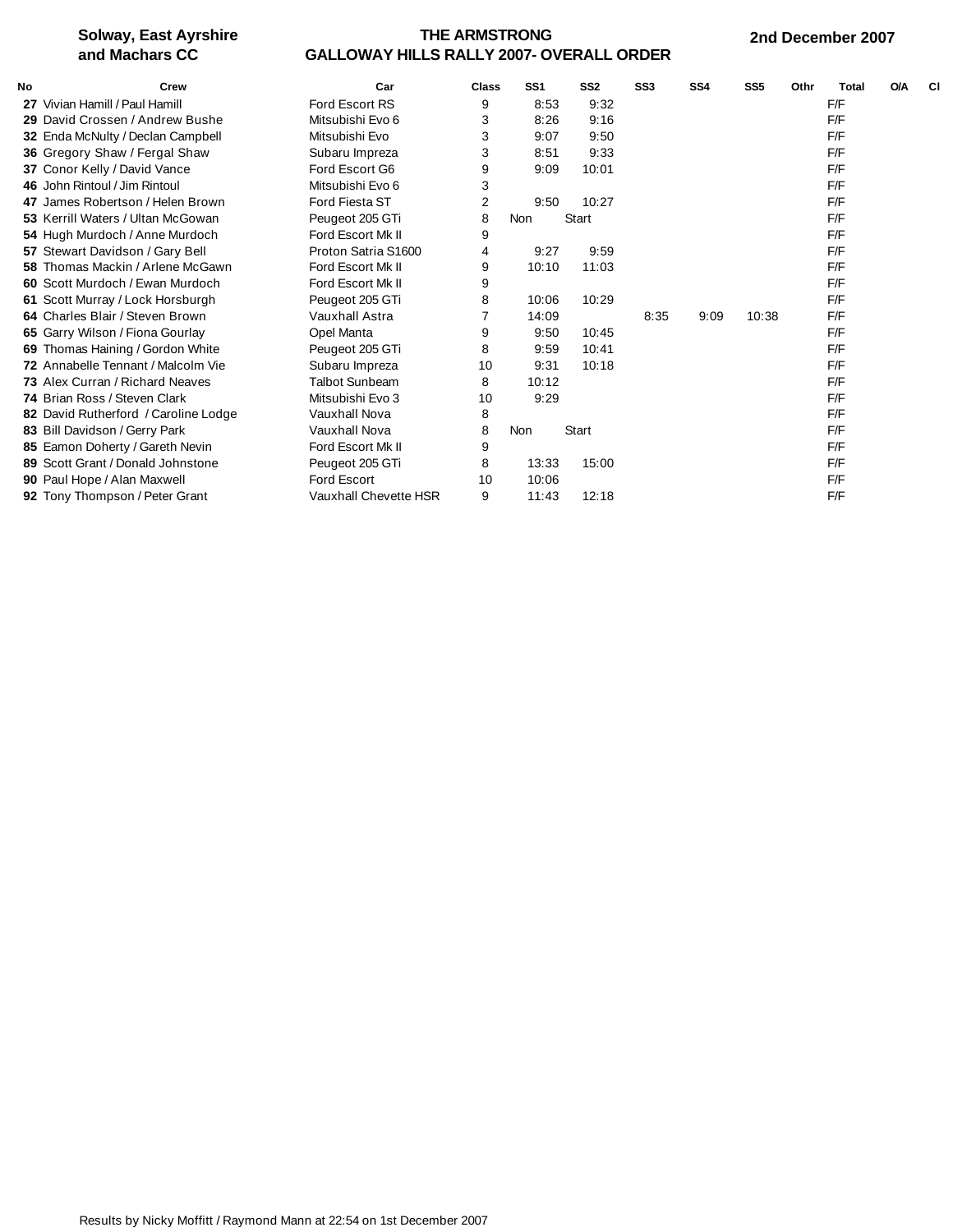### **THE ARMSTRONG GALLOWAY HILLS RALLY 2007- OVERALL ORDER**

| <b>No</b> | <b>Crew</b>                               | Car                   | <b>Class</b> | SS <sub>1</sub> | SS <sub>2</sub> | SS <sub>3</sub> | SS <sub>4</sub> | SS <sub>5</sub> | Othr | <b>Total</b> | <b>O/A</b> | <b>CI</b> |
|-----------|-------------------------------------------|-----------------------|--------------|-----------------|-----------------|-----------------|-----------------|-----------------|------|--------------|------------|-----------|
|           | 27 Vivian Hamill / Paul Hamill            | <b>Ford Escort RS</b> | 9            | 8:53            | 9:32            |                 |                 |                 |      | F/F          |            |           |
|           | 29 David Crossen / Andrew Bushe           | Mitsubishi Evo 6      | 3            | 8:26            | 9:16            |                 |                 |                 |      | F/F          |            |           |
|           | 32 Enda McNulty / Declan Campbell         | Mitsubishi Evo        | 3            | 9:07            | 9:50            |                 |                 |                 |      | F/F          |            |           |
|           | 36 Gregory Shaw / Fergal Shaw             | Subaru Impreza        | 3            | 8:51            | 9:33            |                 |                 |                 |      | F/F          |            |           |
|           | 37 Conor Kelly / David Vance              | Ford Escort G6        | 9            | 9:09            | 10:01           |                 |                 |                 |      | F/F          |            |           |
|           | 46 John Rintoul / Jim Rintoul             | Mitsubishi Evo 6      | 3            |                 |                 |                 |                 |                 |      | F/F          |            |           |
|           | 47 James Robertson / Helen Brown          | Ford Fiesta ST        | 2            | 9:50            | 10:27           |                 |                 |                 |      | F/F          |            |           |
|           | 53 Kerrill Waters / Ultan McGowan         | Peugeot 205 GTi       | 8            | Non             | <b>Start</b>    |                 |                 |                 |      | F/F          |            |           |
|           | 54 Hugh Murdoch / Anne Murdoch            | Ford Escort Mk II     | 9            |                 |                 |                 |                 |                 |      | F/F          |            |           |
|           | 57 Stewart Davidson / Gary Bell           | Proton Satria S1600   | 4            | 9:27            | 9:59            |                 |                 |                 |      | F/F          |            |           |
|           | 58 Thomas Mackin / Arlene McGawn          | Ford Escort Mk II     | 9            | 10:10           | 11:03           |                 |                 |                 |      | F/F          |            |           |
|           | 60 Scott Murdoch / Ewan Murdoch           | Ford Escort Mk II     | 9            |                 |                 |                 |                 |                 |      | F/F          |            |           |
|           | 61 Scott Murray / Lock Horsburgh          | Peugeot 205 GTi       | 8            | 10:06           | 10:29           |                 |                 |                 |      | F/F          |            |           |
|           | 64 Charles Blair / Steven Brown           | Vauxhall Astra        |              | 14:09           |                 | 8:35            | 9:09            | 10:38           |      | F/F          |            |           |
|           | 65 Garry Wilson / Fiona Gourlay           | Opel Manta            | 9            | 9:50            | 10:45           |                 |                 |                 |      | F/F          |            |           |
|           | 69 Thomas Haining / Gordon White          | Peugeot 205 GTi       | 8            | 9:59            | 10:41           |                 |                 |                 |      | F/F          |            |           |
|           | <b>72</b> Annabelle Tennant / Malcolm Vie | Subaru Impreza        | 10           | 9:31            | 10:18           |                 |                 |                 |      | F/F          |            |           |
|           | 73 Alex Curran / Richard Neaves           | <b>Talbot Sunbeam</b> | 8            | 10:12           |                 |                 |                 |                 |      | F/F          |            |           |
|           | 74 Brian Ross / Steven Clark              | Mitsubishi Evo 3      | 10           | 9:29            |                 |                 |                 |                 |      | F/F          |            |           |
|           | 82 David Rutherford / Caroline Lodge      | Vauxhall Nova         | 8            |                 |                 |                 |                 |                 |      | F/F          |            |           |
|           | 83 Bill Davidson / Gerry Park             | Vauxhall Nova         | 8            | Non             | <b>Start</b>    |                 |                 |                 |      | F/F          |            |           |
|           | 85 Eamon Doherty / Gareth Nevin           | Ford Escort Mk II     | 9            |                 |                 |                 |                 |                 |      | F/F          |            |           |
|           | 89 Scott Grant / Donald Johnstone         | Peugeot 205 GTi       | 8            | 13:33           | 15:00           |                 |                 |                 |      | F/F          |            |           |
|           | 90 Paul Hope / Alan Maxwell               | <b>Ford Escort</b>    | 10           | 10:06           |                 |                 |                 |                 |      | F/F          |            |           |
|           | 92 Tony Thompson / Peter Grant            | Vauxhall Chevette HSR | 9            | 11:43           | 12:18           |                 |                 |                 |      | F/F          |            |           |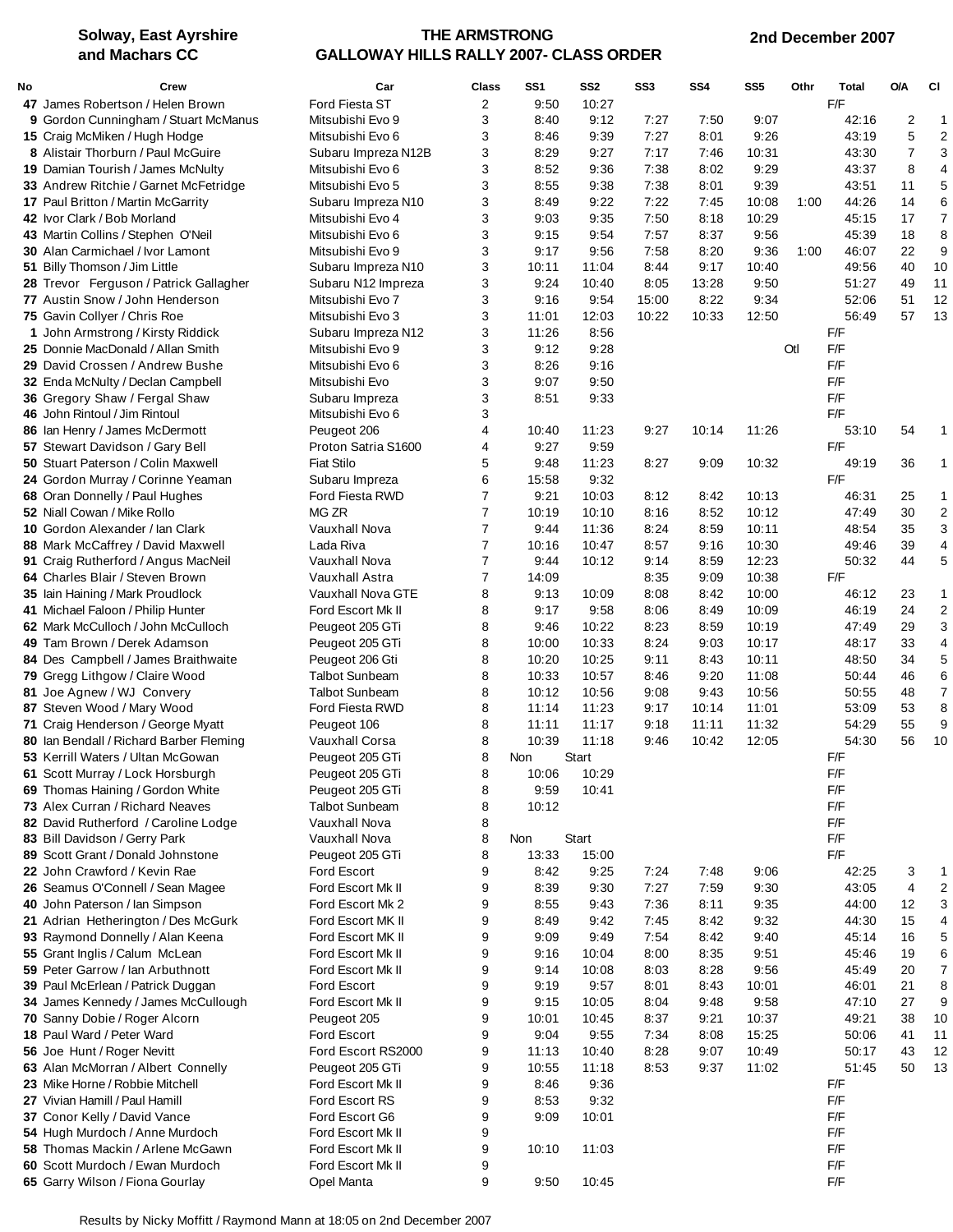### **THE ARMSTRONG GALLOWAY HILLS RALLY 2007- CLASS ORDER**

 **2nd December 2007**

| No | Crew                                                               | Car                                   | Class          | SS <sub>1</sub> | SS <sub>2</sub> | SS3          | SS <sub>4</sub> | SS <sub>5</sub> | Othr | <b>Total</b>   | <b>O/A</b> | <b>CI</b>             |
|----|--------------------------------------------------------------------|---------------------------------------|----------------|-----------------|-----------------|--------------|-----------------|-----------------|------|----------------|------------|-----------------------|
|    | 47 James Robertson / Helen Brown                                   | Ford Fiesta ST                        | 2              | 9:50            | 10:27           |              |                 |                 |      | F/F            |            |                       |
|    | 9 Gordon Cunningham / Stuart McManus                               | Mitsubishi Evo 9                      | 3              | 8:40            | 9:12            | 7:27         | 7:50            | 9:07            |      | 42:16          | 2          | $\mathbf{1}$          |
|    | 15 Craig McMiken / Hugh Hodge                                      | Mitsubishi Evo 6                      | 3              | 8:46            | 9:39            | 7:27         | 8:01            | 9:26            |      | 43:19          | 5          | $\overline{2}$        |
|    | 8 Alistair Thorburn / Paul McGuire                                 | Subaru Impreza N12B                   | 3              | 8:29            | 9:27            | 7:17         | 7:46            | 10:31           |      | 43:30          | 7          | 3                     |
|    | 19 Damian Tourish / James McNulty                                  | Mitsubishi Evo 6                      | 3              | 8:52            | 9:36            | 7:38         | 8:02            | 9:29            |      | 43:37          | 8          | $\overline{4}$        |
|    | 33 Andrew Ritchie / Garnet McFetridge                              | Mitsubishi Evo 5                      | 3              | 8:55            | 9:38            | 7:38         | 8:01            | 9:39            |      | 43:51          | 11         | 5                     |
|    | <b>17 Paul Britton / Martin McGarrity</b>                          | Subaru Impreza N10                    | 3              | 8:49            | 9:22            | 7:22         | 7:45            | 10:08           | 1:00 | 44:26          | 14         | 6                     |
|    | 42 Ivor Clark / Bob Morland                                        | Mitsubishi Evo 4                      | 3              | 9:03            | 9:35            | 7:50         | 8:18            | 10:29           |      | 45:15          | 17         | $\overline{7}$        |
|    | 43 Martin Collins / Stephen O'Neil                                 | Mitsubishi Evo 6                      | 3              | 9:15            | 9:54            | 7:57         | 8:37            | 9:56            |      | 45:39          | 18         | 8                     |
|    | 30 Alan Carmichael / Ivor Lamont                                   | Mitsubishi Evo 9                      | 3              | 9:17            | 9:56            | 7:58         | 8:20            | 9:36            | 1:00 | 46:07          | 22         | 9                     |
|    | 51 Billy Thomson / Jim Little                                      | Subaru Impreza N10                    | 3              | 10:11           | 11:04           | 8:44         | 9:17            | 10:40           |      | 49:56          | 40         | 10                    |
|    | 28 Trevor Ferguson / Patrick Gallagher                             | Subaru N12 Impreza                    | 3              | 9:24            | 10:40           | 8:05         | 13:28           | 9:50            |      | 51:27          | 49         | 11                    |
|    | 77 Austin Snow / John Henderson                                    | Mitsubishi Evo 7                      | 3              | 9:16            | 9:54            | 15:00        | 8:22            | 9:34            |      | 52:06          | 51         | 12                    |
|    | 75 Gavin Collyer / Chris Roe                                       | Mitsubishi Evo 3                      | 3              | 11:01           | 12:03           | 10:22        | 10:33           | 12:50           |      | 56:49          | 57         | 13                    |
|    | 1 John Armstrong / Kirsty Riddick                                  | Subaru Impreza N12                    | 3              | 11:26           | 8:56            |              |                 |                 |      | F/F            |            |                       |
|    | 25 Donnie MacDonald / Allan Smith                                  | Mitsubishi Evo 9                      | 3              | 9:12            | 9:28            |              |                 |                 | Otl  | F/F<br>F/F     |            |                       |
|    | 29 David Crossen / Andrew Bushe                                    | Mitsubishi Evo 6                      | 3<br>3         | 8:26<br>9:07    | 9:16<br>9:50    |              |                 |                 |      | F/F            |            |                       |
|    | 32 Enda McNulty / Declan Campbell<br>36 Gregory Shaw / Fergal Shaw | Mitsubishi Evo<br>Subaru Impreza      | 3              | 8:51            | 9:33            |              |                 |                 |      | F/F            |            |                       |
|    | 46 John Rintoul / Jim Rintoul                                      | Mitsubishi Evo 6                      | 3              |                 |                 |              |                 |                 |      | F/F            |            |                       |
|    | 86 Ian Henry / James McDermott                                     | Peugeot 206                           | 4              | 10:40           | 11:23           | 9:27         | 10:14           | 11:26           |      | 53:10          | 54         | -1                    |
|    | 57 Stewart Davidson / Gary Bell                                    | Proton Satria S1600                   | 4              | 9:27            | 9:59            |              |                 |                 |      | F/F            |            |                       |
|    | 50 Stuart Paterson / Colin Maxwell                                 | <b>Fiat Stilo</b>                     | 5              | 9:48            | 11:23           | 8:27         | 9:09            | 10:32           |      | 49:19          | 36         | $\mathbf 1$           |
|    | 24 Gordon Murray / Corinne Yeaman                                  | Subaru Impreza                        | 6              | 15:58           | 9:32            |              |                 |                 |      | F/F            |            |                       |
|    | 68 Oran Donnelly / Paul Hughes                                     | Ford Fiesta RWD                       | 7              | 9:21            | 10:03           | 8:12         | 8:42            | 10:13           |      | 46:31          | 25         | $\mathbf 1$           |
|    | 52 Niall Cowan / Mike Rollo                                        | MG ZR                                 | $\overline{7}$ | 10:19           | 10:10           | 8:16         | 8:52            | 10:12           |      | 47:49          | 30         | $\boldsymbol{2}$      |
|    | 10 Gordon Alexander / Ian Clark                                    | Vauxhall Nova                         | 7              | 9:44            | 11:36           | 8:24         | 8:59            | 10:11           |      | 48:54          | 35         | 3                     |
|    | 88 Mark McCaffrey / David Maxwell                                  | Lada Riva                             | $\overline{7}$ | 10:16           | 10:47           | 8:57         | 9:16            | 10:30           |      | 49:46          | 39         | $\overline{4}$        |
|    | 91 Craig Rutherford / Angus MacNeil                                | Vauxhall Nova                         | $\overline{7}$ | 9:44            | 10:12           | 9:14         | 8:59            | 12:23           |      | 50:32          | 44         | 5                     |
|    | 64 Charles Blair / Steven Brown                                    | Vauxhall Astra                        | $\overline{7}$ | 14:09           |                 | 8:35         | 9:09            | 10:38           |      | F/F            |            |                       |
|    | 35 lain Haining / Mark Proudlock                                   | Vauxhall Nova GTE                     | 8              | 9:13            | 10:09           | 8:08         | 8:42            | 10:00           |      | 46:12          | 23         | 1                     |
|    | 41 Michael Faloon / Philip Hunter                                  | Ford Escort Mk II                     | 8              | 9:17            | 9:58            | 8:06         | 8:49            | 10:09           |      | 46:19          | 24         | $\boldsymbol{2}$      |
|    | 62 Mark McCulloch / John McCulloch                                 | Peugeot 205 GTi                       | 8              | 9:46            | 10:22           | 8:23         | 8:59            | 10:19           |      | 47:49          | 29         | 3                     |
|    | 49 Tam Brown / Derek Adamson                                       | Peugeot 205 GTi                       | 8              | 10:00           | 10:33           | 8:24         | 9:03            | 10:17           |      | 48:17          | 33         | $\overline{4}$        |
|    | 84 Des Campbell / James Braithwaite                                | Peugeot 206 Gti                       | 8              | 10:20           | 10:25           | 9:11         | 8:43            | 10:11           |      | 48:50          | 34         | 5                     |
|    | 79 Gregg Lithgow / Claire Wood                                     | <b>Talbot Sunbeam</b>                 | 8              | 10:33           | 10:57           | 8:46         | 9:20            | 11:08           |      | 50:44          | 46         | 6                     |
|    | 81 Joe Agnew / WJ Convery                                          | <b>Talbot Sunbeam</b>                 | 8              | 10:12           | 10:56           | 9:08         | 9:43            | 10:56           |      | 50:55          | 48         | $\overline{7}$        |
|    | 87 Steven Wood / Mary Wood                                         | Ford Fiesta RWD                       | 8              | 11:14           | 11:23           | 9:17         | 10:14           | 11:01           |      | 53:09          | 53         | 8                     |
|    | 71 Craig Henderson / George Myatt                                  | Peugeot 106                           | 8              | 11:11           | 11:17           | 9:18         | 11:11           | 11:32           |      | 54:29          | 55         | 9                     |
|    | 80 Ian Bendall / Richard Barber Fleming                            | Vauxhall Corsa                        | 8              | 10:39           | 11:18           | 9:46         | 10:42           | 12:05           |      | 54:30          | 56         | 10                    |
|    | 53 Kerrill Waters / Ultan McGowan                                  | Peugeot 205 GTi                       | 8              | Non             | Start           |              |                 |                 |      | F/F            |            |                       |
|    | 61 Scott Murray / Lock Horsburgh                                   | Peugeot 205 GTi                       | 8              | 10:06           | 10:29           |              |                 |                 |      | F/F            |            |                       |
|    | 69 Thomas Haining / Gordon White                                   | Peugeot 205 GTi                       | 8              | 9:59            | 10:41           |              |                 |                 |      | F/F            |            |                       |
|    | 73 Alex Curran / Richard Neaves                                    | <b>Talbot Sunbeam</b>                 | 8              | 10:12           |                 |              |                 |                 |      | F/F            |            |                       |
|    | 82 David Rutherford / Caroline Lodge                               | Vauxhall Nova                         | 8              |                 |                 |              |                 |                 |      | F/F            |            |                       |
|    | 83 Bill Davidson / Gerry Park                                      | Vauxhall Nova                         | 8              | Non             | Start           |              |                 |                 |      | F/F            |            |                       |
|    | 89 Scott Grant / Donald Johnstone                                  | Peugeot 205 GTi                       | 8              | 13:33           | 15:00           |              |                 |                 |      | F/F            |            |                       |
|    | 22 John Crawford / Kevin Rae                                       | <b>Ford Escort</b>                    | 9              | 8:42            | 9:25            | 7:24         | 7:48            | 9:06            |      | 42:25          | 3          | 1                     |
|    | 26 Seamus O'Connell / Sean Magee<br>40 John Paterson / Ian Simpson | Ford Escort Mk II<br>Ford Escort Mk 2 | 9<br>9         | 8:39<br>8:55    | 9:30<br>9:43    | 7:27<br>7:36 | 7:59<br>8:11    | 9:30<br>9:35    |      | 43:05<br>44:00 | 4<br>12    | $\boldsymbol{2}$<br>3 |
|    | 21 Adrian Hetherington / Des McGurk                                | Ford Escort MK II                     | 9              | 8:49            | 9:42            | 7:45         | 8:42            | 9:32            |      | 44:30          | 15         | 4                     |
|    | 93 Raymond Donnelly / Alan Keena                                   | Ford Escort MK II                     | 9              | 9:09            | 9:49            | 7:54         | 8:42            | 9:40            |      | 45:14          | 16         | 5                     |
|    | 55 Grant Inglis / Calum McLean                                     | Ford Escort Mk II                     | 9              | 9:16            | 10:04           | 8:00         | 8:35            | 9:51            |      | 45:46          | 19         | 6                     |
|    | 59 Peter Garrow / Ian Arbuthnott                                   | Ford Escort Mk II                     | 9              | 9:14            | 10:08           | 8:03         | 8:28            | 9:56            |      | 45:49          | 20         | $\boldsymbol{7}$      |
|    | 39 Paul McErlean / Patrick Duggan                                  | <b>Ford Escort</b>                    | 9              | 9:19            | 9:57            | 8:01         | 8:43            | 10:01           |      | 46:01          | 21         | 8                     |
|    | 34 James Kennedy / James McCullough                                | Ford Escort Mk II                     | 9              | 9:15            | 10:05           | 8:04         | 9:48            | 9:58            |      | 47:10          | 27         | 9                     |
|    | 70 Sanny Dobie / Roger Alcorn                                      | Peugeot 205                           | 9              | 10:01           | 10:45           | 8:37         | 9:21            | 10:37           |      | 49:21          | 38         | 10                    |
|    | 18 Paul Ward / Peter Ward                                          | <b>Ford Escort</b>                    | 9              | 9:04            | 9:55            | 7:34         | 8:08            | 15:25           |      | 50:06          | 41         | 11                    |
|    | 56 Joe Hunt / Roger Nevitt                                         | Ford Escort RS2000                    | 9              | 11:13           | 10:40           | 8:28         | 9:07            | 10:49           |      | 50:17          | 43         | 12                    |
|    | 63 Alan McMorran / Albert Connelly                                 | Peugeot 205 GTi                       | 9              | 10:55           | 11:18           | 8:53         | 9:37            | 11:02           |      | 51:45          | 50         | 13                    |
|    | 23 Mike Horne / Robbie Mitchell                                    | Ford Escort Mk II                     | 9              | 8:46            | 9:36            |              |                 |                 |      | F/F            |            |                       |
|    | 27 Vivian Hamill / Paul Hamill                                     | Ford Escort RS                        | 9              | 8:53            | 9:32            |              |                 |                 |      | F/F            |            |                       |
|    | 37 Conor Kelly / David Vance                                       | Ford Escort G6                        | 9              | 9:09            | 10:01           |              |                 |                 |      | F/F            |            |                       |
|    | 54 Hugh Murdoch / Anne Murdoch                                     | Ford Escort Mk II                     | 9              |                 |                 |              |                 |                 |      | F/F            |            |                       |
|    | 58 Thomas Mackin / Arlene McGawn                                   | Ford Escort Mk II                     | 9              | 10:10           | 11:03           |              |                 |                 |      | F/F            |            |                       |
|    | 60 Scott Murdoch / Ewan Murdoch                                    | Ford Escort Mk II                     | 9              |                 |                 |              |                 |                 |      | F/F            |            |                       |
|    | 65 Garry Wilson / Fiona Gourlay                                    | Opel Manta                            | 9              | 9:50            | 10:45           |              |                 |                 |      | F/F            |            |                       |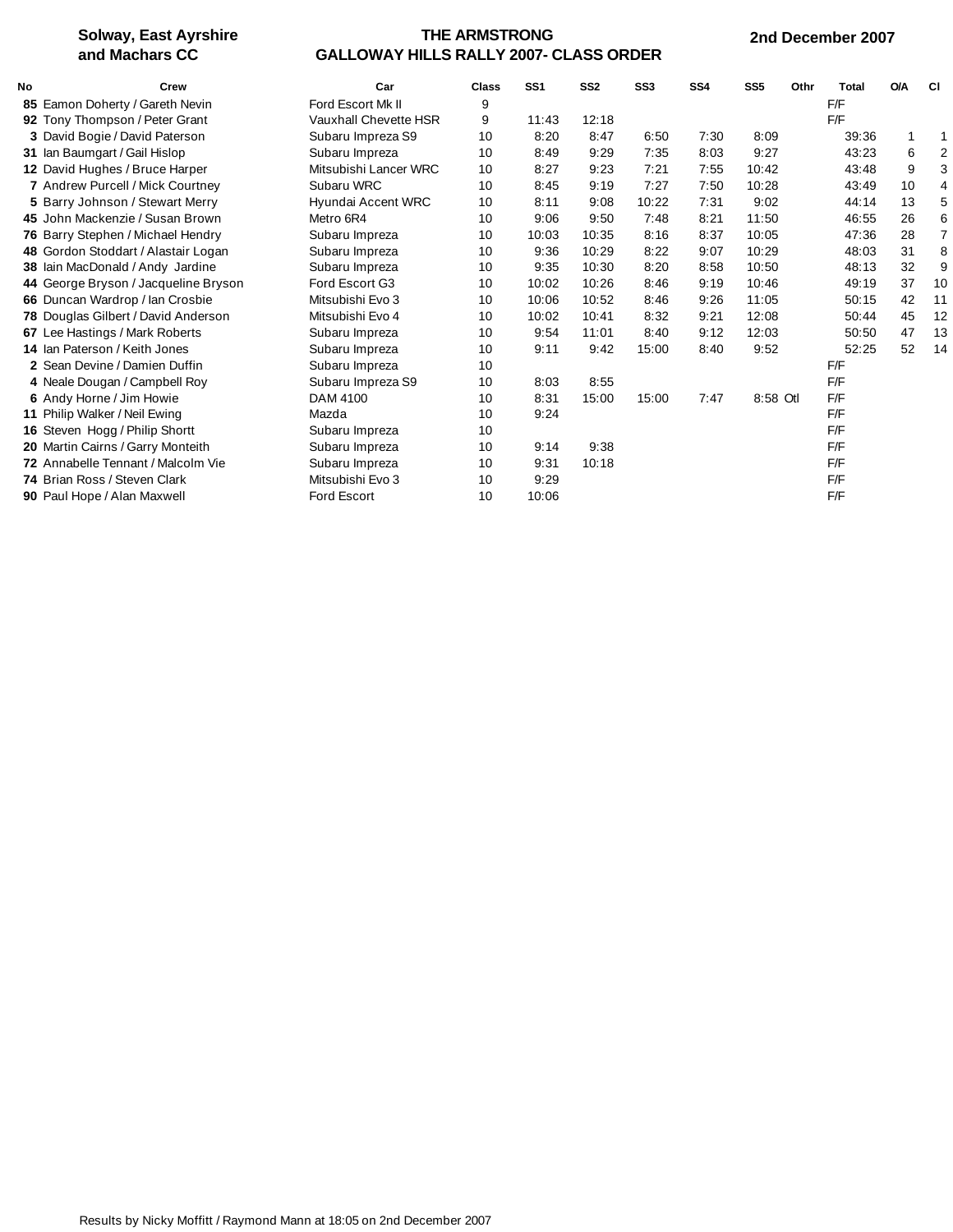### **THE ARMSTRONG GALLOWAY HILLS RALLY 2007- CLASS ORDER**

#### **2nd December 2007**

| No | Crew                                 | Car                   | Class | SS <sub>1</sub> | SS <sub>2</sub> | SS <sub>3</sub> | SS <sub>4</sub> | SS <sub>5</sub> | Othr | <b>Total</b> | <b>O/A</b>   | СI             |
|----|--------------------------------------|-----------------------|-------|-----------------|-----------------|-----------------|-----------------|-----------------|------|--------------|--------------|----------------|
|    | 85 Eamon Doherty / Gareth Nevin      | Ford Escort Mk II     | 9     |                 |                 |                 |                 |                 |      | F/F          |              |                |
|    | 92 Tony Thompson / Peter Grant       | Vauxhall Chevette HSR | 9     | 11:43           | 12:18           |                 |                 |                 |      | F/F          |              |                |
|    | 3 David Bogie / David Paterson       | Subaru Impreza S9     | 10    | 8:20            | 8:47            | 6:50            | 7:30            | 8:09            |      | 39:36        | $\mathbf{1}$ | 1              |
|    | 31 Ian Baumgart / Gail Hislop        | Subaru Impreza        | 10    | 8:49            | 9:29            | 7:35            | 8:03            | 9:27            |      | 43:23        | 6            | 2              |
|    | 12 David Hughes / Bruce Harper       | Mitsubishi Lancer WRC | 10    | 8:27            | 9:23            | 7:21            | 7:55            | 10:42           |      | 43:48        | 9            | 3              |
|    | 7 Andrew Purcell / Mick Courtney     | Subaru WRC            | 10    | 8:45            | 9:19            | 7:27            | 7:50            | 10:28           |      | 43:49        | 10           | 4              |
|    | 5 Barry Johnson / Stewart Merry      | Hyundai Accent WRC    | 10    | 8:11            | 9:08            | 10:22           | 7:31            | 9:02            |      | 44:14        | 13           | 5              |
|    | 45 John Mackenzie / Susan Brown      | Metro 6R4             | 10    | 9:06            | 9:50            | 7:48            | 8:21            | 11:50           |      | 46:55        | 26           | 6              |
|    | 76 Barry Stephen / Michael Hendry    | Subaru Impreza        | 10    | 10:03           | 10:35           | 8:16            | 8:37            | 10:05           |      | 47:36        | 28           | $\overline{7}$ |
|    | 48 Gordon Stoddart / Alastair Logan  | Subaru Impreza        | 10    | 9:36            | 10:29           | 8:22            | 9:07            | 10:29           |      | 48:03        | 31           | 8              |
|    | 38 Iain MacDonald / Andy Jardine     | Subaru Impreza        | 10    | 9:35            | 10:30           | 8:20            | 8:58            | 10:50           |      | 48:13        | 32           | 9              |
|    | 44 George Bryson / Jacqueline Bryson | Ford Escort G3        | 10    | 10:02           | 10:26           | 8:46            | 9:19            | 10:46           |      | 49:19        | 37           | 10             |
|    | 66 Duncan Wardrop / Ian Crosbie      | Mitsubishi Evo 3      | 10    | 10:06           | 10:52           | 8:46            | 9:26            | 11:05           |      | 50:15        | 42           | 11             |
|    | 78 Douglas Gilbert / David Anderson  | Mitsubishi Evo 4      | 10    | 10:02           | 10:41           | 8:32            | 9:21            | 12:08           |      | 50:44        | 45           | 12             |
|    | 67 Lee Hastings / Mark Roberts       | Subaru Impreza        | 10    | 9:54            | 11:01           | 8:40            | 9:12            | 12:03           |      | 50:50        | 47           | 13             |
|    | 14 Ian Paterson / Keith Jones        | Subaru Impreza        | 10    | 9:11            | 9:42            | 15:00           | 8:40            | 9:52            |      | 52:25        | 52           | 14             |
|    | 2 Sean Devine / Damien Duffin        | Subaru Impreza        | 10    |                 |                 |                 |                 |                 |      | F/F          |              |                |
|    | 4 Neale Dougan / Campbell Roy        | Subaru Impreza S9     | 10    | 8:03            | 8:55            |                 |                 |                 |      | F/F          |              |                |
|    | 6 Andy Horne / Jim Howie             | DAM 4100              | 10    | 8:31            | 15:00           | 15:00           | 7:47            | 8:58 Otl        |      | F/F          |              |                |
|    | 11 Philip Walker / Neil Ewing        | Mazda                 | 10    | 9:24            |                 |                 |                 |                 |      | F/F          |              |                |
|    | 16 Steven Hogg / Philip Shortt       | Subaru Impreza        | 10    |                 |                 |                 |                 |                 |      | F/F          |              |                |
|    | 20 Martin Cairns / Garry Monteith    | Subaru Impreza        | 10    | 9:14            | 9:38            |                 |                 |                 |      | F/F          |              |                |
|    | 72 Annabelle Tennant / Malcolm Vie   | Subaru Impreza        | 10    | 9:31            | 10:18           |                 |                 |                 |      | F/F          |              |                |
|    | 74 Brian Ross / Steven Clark         | Mitsubishi Evo 3      | 10    | 9:29            |                 |                 |                 |                 |      | F/F          |              |                |
|    | 90 Paul Hope / Alan Maxwell          | <b>Ford Escort</b>    | 10    | 10:06           |                 |                 |                 |                 |      | F/F          |              |                |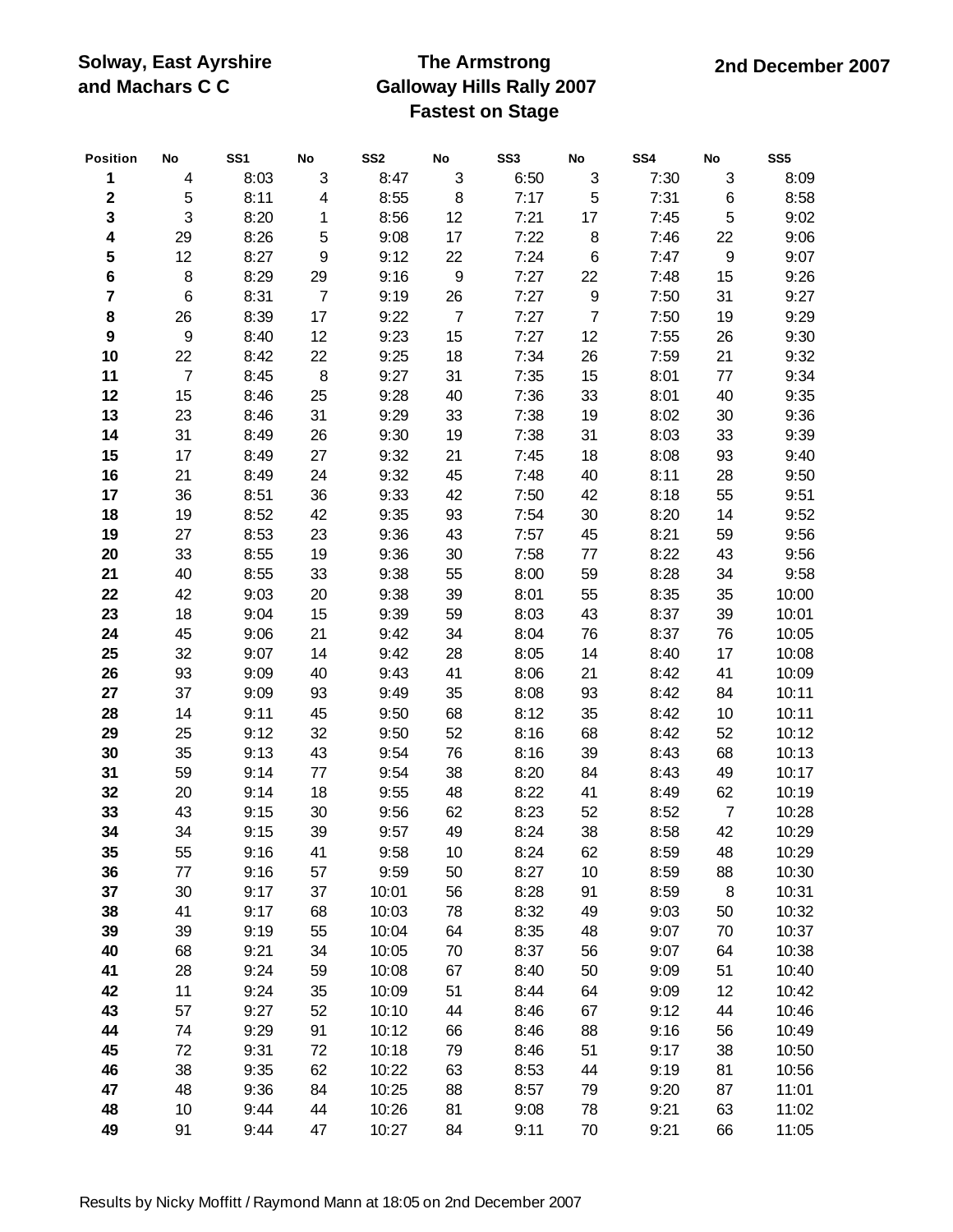## **The Armstrong Galloway Hills Rally 2007 Fastest on Stage**

| Position         | No               | SS <sub>1</sub> | No                      | SS <sub>2</sub> | ${\sf No}$       | SS <sub>3</sub> | ${\sf No}$       | SS4  | ${\sf No}$       | SS <sub>5</sub> |
|------------------|------------------|-----------------|-------------------------|-----------------|------------------|-----------------|------------------|------|------------------|-----------------|
| $\mathbf 1$      | 4                | 8:03            | 3                       | 8:47            | $\sqrt{3}$       | 6:50            | $\mathfrak{B}$   | 7:30 | $\sqrt{3}$       | 8:09            |
| $\mathbf 2$      | 5                | 8:11            | $\overline{\mathbf{4}}$ | 8:55            | 8                | 7:17            | 5                | 7:31 | 6                | 8:58            |
| $\mathbf{3}$     | 3                | 8:20            | 1                       | 8:56            | 12               | 7:21            | 17               | 7:45 | 5                | 9:02            |
| 4                | 29               | 8:26            | 5                       | 9:08            | 17               | 7:22            | 8                | 7:46 | 22               | 9:06            |
| 5                | 12               | 8:27            | $\boldsymbol{9}$        | 9:12            | 22               | 7:24            | $\,6$            | 7:47 | $\boldsymbol{9}$ | 9:07            |
| 6                | 8                | 8:29            | 29                      | 9:16            | $\boldsymbol{9}$ | 7:27            | 22               | 7:48 | 15               | 9:26            |
| 7                | 6                | 8:31            | $\boldsymbol{7}$        | 9:19            | 26               | 7:27            | $\boldsymbol{9}$ | 7:50 | 31               | 9:27            |
| 8                | 26               | 8:39            | 17                      | 9:22            | $\overline{7}$   | 7:27            | $\overline{7}$   | 7:50 | 19               | 9:29            |
| $\boldsymbol{9}$ | $\boldsymbol{9}$ | 8:40            | 12                      | 9:23            | 15               | 7:27            | 12               | 7:55 | 26               | 9:30            |
| 10               | 22               | 8:42            | 22                      | 9:25            | 18               | 7:34            | 26               | 7:59 | 21               | 9:32            |
| 11               | $\overline{7}$   | 8:45            | 8                       | 9:27            | 31               | 7:35            | 15               | 8:01 | 77               | 9:34            |
| 12               | 15               | 8:46            | 25                      | 9:28            | 40               | 7:36            | 33               | 8:01 | 40               | 9:35            |
| 13               | 23               | 8:46            | 31                      | 9:29            | 33               | 7:38            | 19               | 8:02 | 30               | 9:36            |
| 14               | 31               | 8:49            | 26                      | 9:30            | 19               | 7:38            | 31               | 8:03 | 33               | 9:39            |
| 15               | 17               | 8:49            | 27                      | 9:32            | 21               | 7:45            | 18               | 8:08 | 93               | 9:40            |
| 16               | 21               | 8:49            | 24                      | 9:32            | 45               | 7:48            | 40               | 8:11 | 28               | 9:50            |
| 17               | 36               | 8:51            | 36                      | 9:33            | 42               | 7:50            | 42               | 8:18 | 55               | 9:51            |
| 18               | 19               | 8:52            | 42                      | 9:35            | 93               | 7:54            | 30               | 8:20 | 14               | 9:52            |
| 19               | 27               | 8:53            | 23                      | 9:36            | 43               | 7:57            | 45               | 8:21 | 59               | 9:56            |
| 20               | 33               | 8:55            | 19                      | 9:36            | 30               | 7:58            | 77               | 8:22 | 43               | 9:56            |
| 21               | 40               | 8:55            | 33                      | 9:38            | 55               | 8:00            | 59               | 8:28 | 34               | 9:58            |
| 22               | 42               | 9:03            | 20                      | 9:38            | 39               | 8:01            | 55               | 8:35 | 35               | 10:00           |
| 23               | 18               | 9:04            | 15                      | 9:39            | 59               | 8:03            | 43               | 8:37 | 39               | 10:01           |
| 24               | 45               | 9:06            | 21                      | 9:42            | 34               | 8:04            | 76               | 8:37 | 76               | 10:05           |
| 25               | 32               | 9:07            | 14                      | 9:42            | 28               | 8:05            | 14               | 8:40 | 17               | 10:08           |
| 26               | 93               | 9:09            | 40                      | 9:43            | 41               | 8:06            | 21               | 8:42 | 41               | 10:09           |
| 27               | 37               | 9:09            | 93                      | 9:49            | 35               | 8:08            | 93               | 8:42 | 84               | 10:11           |
| 28               | 14               | 9:11            | 45                      | 9:50            | 68               | 8:12            | 35               | 8:42 | 10               | 10:11           |
| 29               | 25               | 9:12            | 32                      | 9:50            | 52               | 8:16            | 68               | 8:42 | 52               | 10:12           |
| 30               | 35               | 9:13            | 43                      | 9:54            | 76               | 8:16            | 39               | 8:43 | 68               | 10:13           |
| 31               | 59               | 9:14            | 77                      | 9:54            | 38               | 8:20            | 84               | 8:43 | 49               | 10:17           |
| 32               | 20               | 9:14            | 18                      | 9:55            | 48               | 8:22            | 41               | 8:49 | 62               | 10:19           |
| 33               | 43               | 9:15            | 30                      | 9:56            | 62               | 8:23            | 52               | 8:52 | $\overline{7}$   | 10:28           |
| 34               | 34               | 9:15            | 39                      | 9:57            | 49               | 8:24            | 38               | 8:58 | 42               | 10:29           |
| 35               | 55               | 9:16            | 41                      | 9:58            | 10               | 8:24            | 62               | 8:59 | 48               | 10:29           |
| 36               | 77               | 9:16            | 57                      | 9:59            | 50               | 8:27            | 10               | 8:59 | 88               | 10:30           |
| 37               | 30               | 9:17            | 37                      | 10:01           | 56               | 8:28            | 91               | 8:59 | 8                | 10:31           |
| 38               | 41               | 9:17            | 68                      | 10:03           | 78               | 8:32            | 49               | 9:03 | 50               | 10:32           |
| 39               | 39               | 9:19            | 55                      | 10:04           | 64               | 8:35            | 48               | 9:07 | 70               | 10:37           |
| 40               | 68               | 9:21            | 34                      | 10:05           | 70               | 8:37            | 56               | 9:07 | 64               | 10:38           |
| 41               | 28               | 9:24            | 59                      | 10:08           | 67               | 8:40            | 50               | 9:09 | 51               | 10:40           |
| 42               | 11               | 9:24            | 35                      | 10:09           | 51               | 8:44            | 64               | 9:09 | 12               | 10:42           |
| 43               | 57               | 9:27            | 52                      | 10:10           | 44               | 8:46            | 67               | 9:12 | 44               | 10:46           |
| 44               | 74               | 9:29            | 91                      | 10:12           | 66               | 8:46            | 88               | 9:16 | 56               | 10:49           |
| 45               | 72               | 9:31            | 72                      | 10:18           | 79               | 8:46            | 51               | 9:17 | 38               | 10:50           |
| 46               | 38               | 9:35            | 62                      | 10:22           | 63               | 8:53            | 44               | 9:19 | 81               | 10:56           |
| 47               | 48               | 9:36            | 84                      | 10:25           | 88               | 8:57            | 79               | 9:20 | 87               | 11:01           |
| 48               | 10               | 9:44            | 44                      | 10:26           | 81               | 9:08            | 78               | 9:21 | 63               | 11:02           |
| 49               | 91               | 9:44            | 47                      | 10:27           | 84               | 9:11            | 70               | 9:21 | 66               | 11:05           |